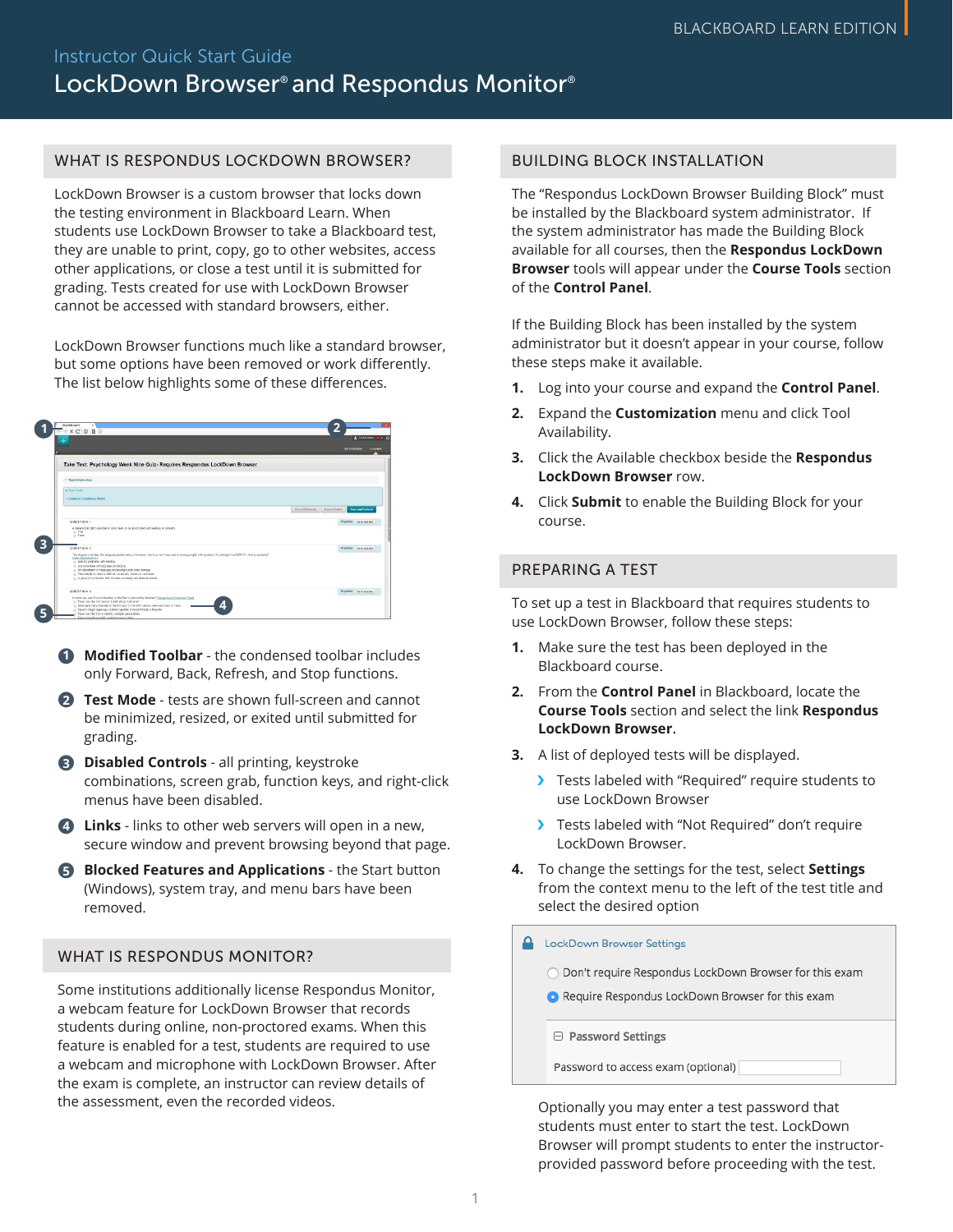### WHAT IS RESPONDUS LOCKDOWN BROWSER?

LockDown Browser is a custom browser that locks down the testing environment in Blackboard Learn. When students use LockDown Browser to take a Blackboard test, they are unable to print, copy, go to other websites, access other applications, or close a test until it is submitted for grading. Tests created for use with LockDown Browser cannot be accessed with standard browsers, either.

LockDown Browser functions much like a standard browser, but some options have been removed or work differently. The list below highlights some of these differences.

|                                                                                                                                                                                                                              | Mir Imilitation                                  |
|------------------------------------------------------------------------------------------------------------------------------------------------------------------------------------------------------------------------------|--------------------------------------------------|
|                                                                                                                                                                                                                              |                                                  |
| Take Test: Psychology Week Nine Quiz- Requires Respondus LockDown Browser                                                                                                                                                    |                                                  |
| v Test Information                                                                                                                                                                                                           |                                                  |
| <b>b</b> Show Timer                                                                                                                                                                                                          |                                                  |
| v Question Completion Status;                                                                                                                                                                                                |                                                  |
|                                                                                                                                                                                                                              | Save All Answers Cities Window<br>San and Submit |
| <b>QUESTION 1</b>                                                                                                                                                                                                            | 30 points Save Annunz                            |
| A depreciption deader is real likely to be associated with feelings of smealty.<br>o Tree<br>o False                                                                                                                         |                                                  |
| <b>QUESTION 2</b>                                                                                                                                                                                                            | 10 points Nave Annuel                            |
| The diagnost indicates the temporal paristel area of the basic which is much less softwa among people nith distincts. According to the DSM-77, what is dysheria?<br>Clare, diagram (FSE)<br>@ specific politiess with mading |                                                  |
| C any impairment of language processing<br>() An impostment of language processing due to brain domage<br>c: The insbills to retions difficult recalculary words on command                                                  |                                                  |
| c: A group of symptoms that includes studening and informer would.                                                                                                                                                           |                                                  |
| <b>QUESTION 3</b>                                                                                                                                                                                                            | 10 points Sere Ammer                             |

- **Modified Toolbar** the condensed toolbar includes **1** only Forward, Back, Refresh, and Stop functions.
- **Test Mode** tests are shown full-screen and cannot **2** be minimized, resized, or exited until submitted for grading.
- **Disabled Controls** all printing, keystroke **3** combinations, screen grab, function keys, and right-click menus have been disabled.
- **Links** links to other web servers will open in a new, **4** secure window and prevent browsing beyond that page.
- **6** Blocked Features and Applications the Start button (Windows), system tray, and menu bars have been removed.

### WHAT IS RESPONDUS MONITOR?

Some institutions additionally license Respondus Monitor, a webcam feature for LockDown Browser that records students during online, non-proctored exams. When this feature is enabled for a test, students are required to use a webcam and microphone with LockDown Browser. After the exam is complete, an instructor can review details of the assessment, even the recorded videos.

#### BUILDING BLOCK INSTALLATION

The "Respondus LockDown Browser Building Block" must be installed by the Blackboard system administrator. If the system administrator has made the Building Block available for all courses, then the **Respondus LockDown Browser** tools will appear under the **Course Tools** section of the **Control Panel**.

If the Building Block has been installed by the system administrator but it doesn't appear in your course, follow these steps make it available.

- **1.** Log into your course and expand the **Control Panel**.
- **2.** Expand the **Customization** menu and click Tool Availability.
- **3.** Click the Available checkbox beside the **Respondus LockDown Browser** row.
- **4.** Click **Submit** to enable the Building Block for your course.

# PREPARING A TEST

To set up a test in Blackboard that requires students to use LockDown Browser, follow these steps:

- **1.** Make sure the test has been deployed in the Blackboard course.
- **2.** From the **Control Panel** in Blackboard, locate the **Course Tools** section and select the link **Respondus LockDown Browser.**
- **3.** A list of deployed tests will be displayed.
	- › Tests labeled with "Required" require students to use LockDown Browser
	- › Tests labeled with "Not Required" don't require LockDown Browser.
- **4.** To change the settings for the test, select **Settings** from the context menu to the left of the test title and select the desired option

**A** LockDown Browser Settings

| Don't require Respondus LockDown Browser for this exam |  |  |  |  |  |
|--------------------------------------------------------|--|--|--|--|--|
|--------------------------------------------------------|--|--|--|--|--|

Require Respondus LockDown Browser for this exam

□ Password Settings

Password to access exam (optional)

Optionally you may enter a test password that students must enter to start the test. LockDown Browser will prompt students to enter the instructorprovided password before proceeding with the test.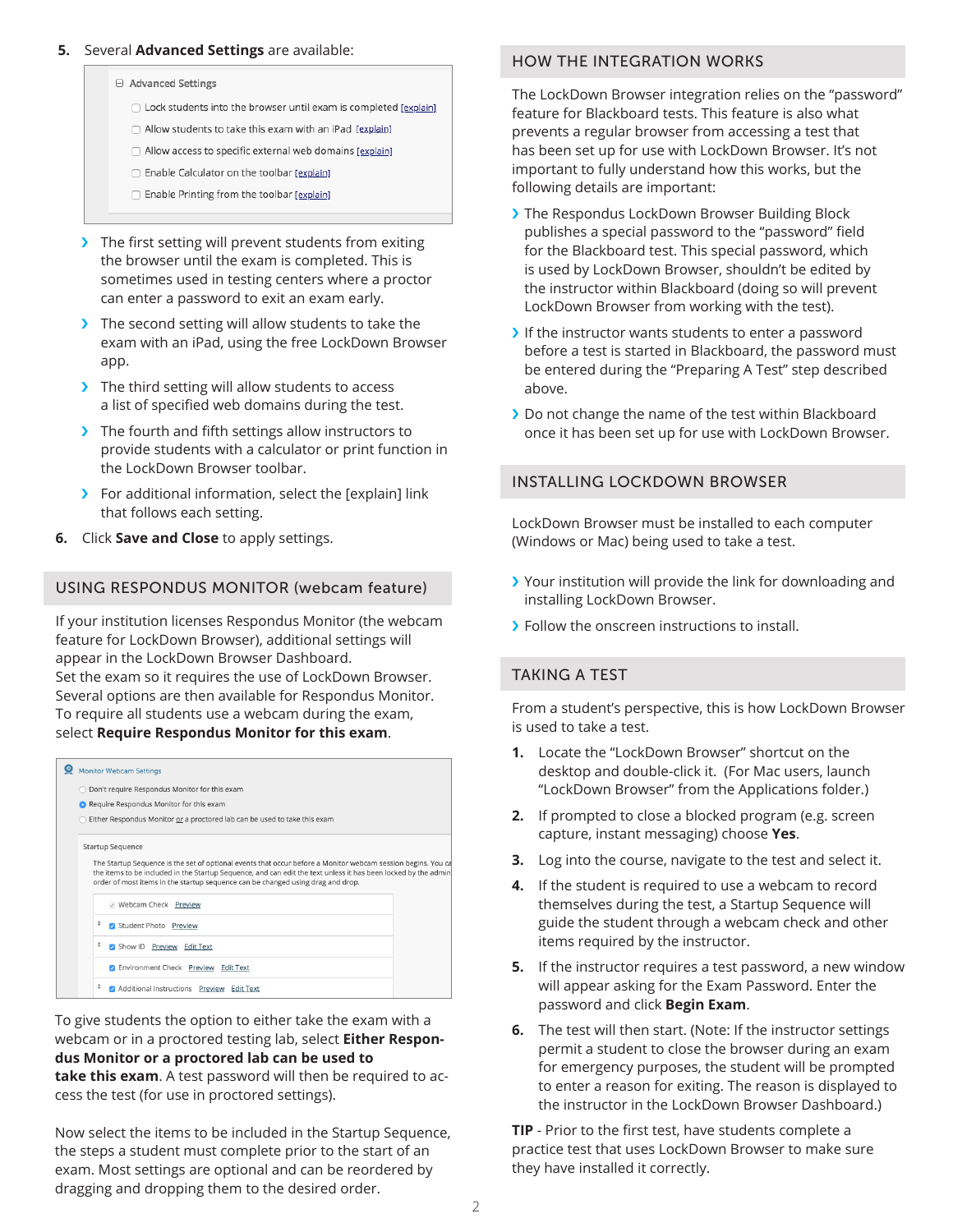#### **5.** Several **Advanced Settings** are available:

□ Advanced Settings

- □ Lock students into the browser until exam is completed [explain]
- Allow students to take this exam with an iPad [explain]
- Allow access to specific external web domains [explain]
- □ Enable Calculator on the toolbar [explain]
- Enable Printing from the toolbar [explain]
- > The first setting will prevent students from exiting the browser until the exam is completed. This is sometimes used in testing centers where a proctor can enter a password to exit an exam early.
- > The second setting will allow students to take the exam with an iPad, using the free LockDown Browser app.
- > The third setting will allow students to access a list of specified web domains during the test.
- > The fourth and fifth settings allow instructors to provide students with a calculator or print function in the LockDown Browser toolbar.
- › For additional information, select the [explain] link that follows each setting.
- **6.** Click **Save and Close** to apply settings.

### USING RESPONDUS MONITOR (webcam feature)

If your institution licenses Respondus Monitor (the webcam feature for LockDown Browser), additional settings will appear in the LockDown Browser Dashboard. Set the exam so it requires the use of LockDown Browser. Several options are then available for Respondus Monitor. To require all students use a webcam during the exam, select **Require Respondus Monitor for this exam**.

| <b>Monitor Webcam Settings</b>                                                                                                                                                                                                                                                                                                               |    |                                           |  |  |  |
|----------------------------------------------------------------------------------------------------------------------------------------------------------------------------------------------------------------------------------------------------------------------------------------------------------------------------------------------|----|-------------------------------------------|--|--|--|
| O Don't require Respondus Monitor for this exam                                                                                                                                                                                                                                                                                              |    |                                           |  |  |  |
|                                                                                                                                                                                                                                                                                                                                              |    | Require Respondus Monitor for this exam   |  |  |  |
| Either Respondus Monitor or a proctored lab can be used to take this exam                                                                                                                                                                                                                                                                    |    |                                           |  |  |  |
| <b>Startup Sequence</b><br>The Startup Sequence is the set of optional events that occur before a Monitor webcam session begins. You ca<br>the items to be included in the Startup Sequence, and can edit the text unless it has been locked by the admin<br>order of most items in the startup sequence can be changed using drag and drop. |    |                                           |  |  |  |
|                                                                                                                                                                                                                                                                                                                                              |    | V Webcam Check Preview                    |  |  |  |
|                                                                                                                                                                                                                                                                                                                                              | \$ | Student Photo Preview                     |  |  |  |
|                                                                                                                                                                                                                                                                                                                                              | \$ | <b>D</b> Show ID Preview Edit Text        |  |  |  |
|                                                                                                                                                                                                                                                                                                                                              |    | Environment Check Preview Edit Text       |  |  |  |
|                                                                                                                                                                                                                                                                                                                                              | t  | Additional Instructions Preview Edit Text |  |  |  |

To give students the option to either take the exam with a webcam or in a proctored testing lab, select **Either Respondus Monitor or a proctored lab can be used to take this exam**. A test password will then be required to access the test (for use in proctored settings).

Now select the items to be included in the Startup Sequence, the steps a student must complete prior to the start of an exam. Most settings are optional and can be reordered by dragging and dropping them to the desired order.

### HOW THE INTEGRATION WORKS

The LockDown Browser integration relies on the "password" feature for Blackboard tests. This feature is also what prevents a regular browser from accessing a test that has been set up for use with LockDown Browser. It's not important to fully understand how this works, but the following details are important:

- › The Respondus LockDown Browser Building Block publishes a special password to the "password" field for the Blackboard test. This special password, which is used by LockDown Browser, shouldn't be edited by the instructor within Blackboard (doing so will prevent LockDown Browser from working with the test).
- If the instructor wants students to enter a password before a test is started in Blackboard, the password must be entered during the "Preparing A Test" step described above.
- › Do not change the name of the test within Blackboard once it has been set up for use with LockDown Browser.

## INSTALLING LOCKDOWN BROWSER

LockDown Browser must be installed to each computer (Windows or Mac) being used to take a test.

- › Your institution will provide the link for downloading and installing LockDown Browser.
- › Follow the onscreen instructions to install.

### TAKING A TEST

From a student's perspective, this is how LockDown Browser is used to take a test.

- **1.** Locate the "LockDown Browser" shortcut on the desktop and double-click it. (For Mac users, launch "LockDown Browser" from the Applications folder.)
- **2.** If prompted to close a blocked program (e.g. screen capture, instant messaging) choose **Yes**.
- **3.** Log into the course, navigate to the test and select it.
- **4.** If the student is required to use a webcam to record themselves during the test, a Startup Sequence will guide the student through a webcam check and other items required by the instructor.
- **5.** If the instructor requires a test password, a new window will appear asking for the Exam Password. Enter the password and click **Begin Exam**.
- **6.** The test will then start. (Note: If the instructor settings permit a student to close the browser during an exam for emergency purposes, the student will be prompted to enter a reason for exiting. The reason is displayed to the instructor in the LockDown Browser Dashboard.)

**TIP** - Prior to the first test, have students complete a practice test that uses LockDown Browser to make sure they have installed it correctly.